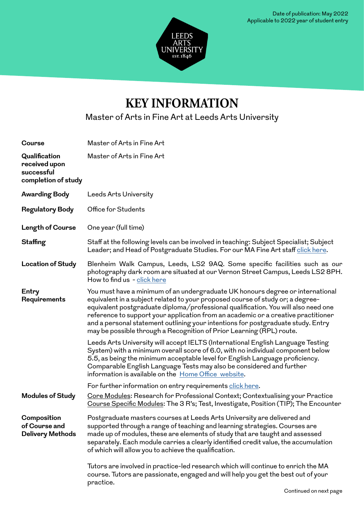

## **KEY INFORMATION**

Master of Arts in Fine Art at Leeds Arts University

| <b>Course</b>                                                       | Master of Arts in Fine Art                                                                                                                                                                                                                                                                                                                                                                                                                                                                              |
|---------------------------------------------------------------------|---------------------------------------------------------------------------------------------------------------------------------------------------------------------------------------------------------------------------------------------------------------------------------------------------------------------------------------------------------------------------------------------------------------------------------------------------------------------------------------------------------|
| Qualification<br>received upon<br>successful<br>completion of study | Master of Arts in Fine Art                                                                                                                                                                                                                                                                                                                                                                                                                                                                              |
| <b>Awarding Body</b>                                                | Leeds Arts University                                                                                                                                                                                                                                                                                                                                                                                                                                                                                   |
| <b>Regulatory Body</b>                                              | Office for Students                                                                                                                                                                                                                                                                                                                                                                                                                                                                                     |
| Length of Course                                                    | One year (full time)                                                                                                                                                                                                                                                                                                                                                                                                                                                                                    |
| <b>Staffing</b>                                                     | Staff at the following levels can be involved in teaching: Subject Specialist; Subject<br>Leader; and Head of Postgraduate Studies. For our MA Fine Art staff click here.                                                                                                                                                                                                                                                                                                                               |
| <b>Location of Study</b>                                            | Blenheim Walk Campus, Leeds, LS2 9AQ. Some specific facilities such as our<br>photography dark room are situated at our Vernon Street Campus, Leeds LS2 8PH.<br>How to find us - click here                                                                                                                                                                                                                                                                                                             |
| Entry<br>Requirements                                               | You must have a minimum of an undergraduate UK honours degree or international<br>equivalent in a subject related to your proposed course of study or; a degree-<br>equivalent postgraduate diploma/professional qualification. You will also need one<br>reference to support your application from an academic or a creative practitioner<br>and a personal statement outlining your intentions for postgraduate study. Entry<br>may be possible through a Recognition of Prior Learning (RPL) route. |
|                                                                     | Leeds Arts University will accept IELTS (International English Language Testing<br>System) with a minimum overall score of 6.0, with no individual component below<br>5.5, as being the minimum acceptable level for English Language proficiency.<br>Comparable English Language Tests may also be considered and further<br>information is available on the Home Office website.                                                                                                                      |
|                                                                     | For further information on entry requirements click here.                                                                                                                                                                                                                                                                                                                                                                                                                                               |
| <b>Modules of Study</b>                                             | Core Modules: Research for Professional Context; Contextualising your Practice<br>Course Specific Modules: The 3 R's; Test, Investigate, Position (TIP); The Encounter                                                                                                                                                                                                                                                                                                                                  |
| Composition<br>of Course and<br><b>Delivery Methods</b>             | Postgraduate masters courses at Leeds Arts University are delivered and<br>supported through a range of teaching and learning strategies. Courses are<br>made up of modules, these are elements of study that are taught and assessed<br>separately. Each module carries a clearly identified credit value, the accumulation<br>of which will allow you to achieve the qualification.                                                                                                                   |
|                                                                     | Tutors are involved in practice-led research which will continue to enrich the MA<br>course. Tutors are passionate, engaged and will help you get the best out of your<br>practice.                                                                                                                                                                                                                                                                                                                     |